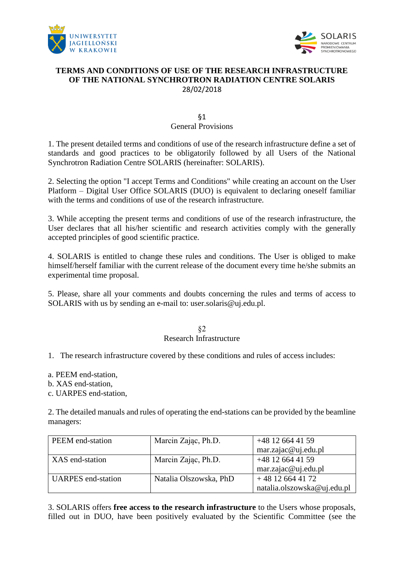



# **TERMS AND CONDITIONS OF USE OF THE RESEARCH INFRASTRUCTURE OF THE NATIONAL SYNCHROTRON RADIATION CENTRE SOLARIS** 28/02/2018

# §1 General Provisions

1. The present detailed terms and conditions of use of the research infrastructure define a set of standards and good practices to be obligatorily followed by all Users of the National Synchrotron Radiation Centre SOLARIS (hereinafter: SOLARIS).

2. Selecting the option "I accept Terms and Conditions" while creating an account on the User Platform – Digital User Office SOLARIS (DUO) is equivalent to declaring oneself familiar with the terms and conditions of use of the research infrastructure.

3. While accepting the present terms and conditions of use of the research infrastructure, the User declares that all his/her scientific and research activities comply with the generally accepted principles of good scientific practice.

4. SOLARIS is entitled to change these rules and conditions. The User is obliged to make himself/herself familiar with the current release of the document every time he/she submits an experimental time proposal.

5. Please, share all your comments and doubts concerning the rules and terms of access to SOLARIS with us by sending an e-mail to: user.solaris@uj.edu.pl.

#### §2 Research Infrastructure

1. The research infrastructure covered by these conditions and rules of access includes:

a. PEEM end-station,

b. XAS end-station,

c. UARPES end-station,

2. The detailed manuals and rules of operating the end-stations can be provided by the beamline managers:

| PEEM end-station          | Marcin Zając, Ph.D.    | $+48$ 12 664 41 59          |
|---------------------------|------------------------|-----------------------------|
|                           |                        | $mar.za$ jac@uj.edu.pl      |
| XAS end-station           | Marcin Zając, Ph.D.    | $+48$ 12 664 41 59          |
|                           |                        | mar.zajac@uj.edu.pl         |
| <b>UARPES</b> end-station | Natalia Olszowska, PhD | $+48$ 12 664 41 72          |
|                           |                        | natalia.olszowska@uj.edu.pl |

3. SOLARIS offers **free access to the research infrastructure** to the Users whose proposals, filled out in DUO, have been positively evaluated by the Scientific Committee (see the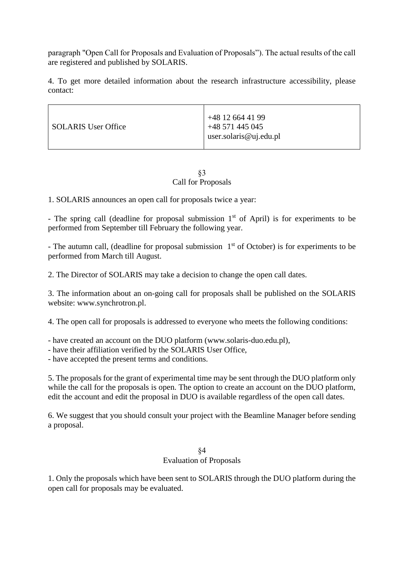paragraph "Open Call for Proposals and Evaluation of Proposals"). The actual results of the call are registered and published by SOLARIS.

4. To get more detailed information about the research infrastructure accessibility, please contact:

| <b>SOLARIS User Office</b> | +48 12 664 41 99<br>+48 571 445 045<br>user.solaris@uj.edu.pl |
|----------------------------|---------------------------------------------------------------|
|----------------------------|---------------------------------------------------------------|

#### §3 Call for Proposals

1. SOLARIS announces an open call for proposals twice a year:

- The spring call (deadline for proposal submission  $1<sup>st</sup>$  of April) is for experiments to be performed from September till February the following year.

- The autumn call, (deadline for proposal submission  $1<sup>st</sup>$  of October) is for experiments to be performed from March till August.

2. The Director of SOLARIS may take a decision to change the open call dates.

3. The information about an on-going call for proposals shall be published on the SOLARIS website: www.synchrotron.pl.

4. The open call for proposals is addressed to everyone who meets the following conditions:

- have created an account on the DUO platform (www.solaris-duo.edu.pl),

- have their affiliation verified by the SOLARIS User Office,

- have accepted the present terms and conditions.

5. The proposals for the grant of experimental time may be sent through the DUO platform only while the call for the proposals is open. The option to create an account on the DUO platform, edit the account and edit the proposal in DUO is available regardless of the open call dates.

6. We suggest that you should consult your project with the Beamline Manager before sending a proposal.

# §4

# Evaluation of Proposals

1. Only the proposals which have been sent to SOLARIS through the DUO platform during the open call for proposals may be evaluated.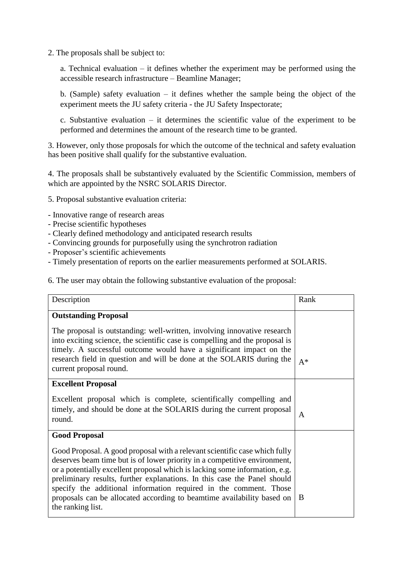2. The proposals shall be subject to:

a. Technical evaluation – it defines whether the experiment may be performed using the accessible research infrastructure – Beamline Manager;

b. (Sample) safety evaluation – it defines whether the sample being the object of the experiment meets the JU safety criteria - the JU Safety Inspectorate;

c. Substantive evaluation – it determines the scientific value of the experiment to be performed and determines the amount of the research time to be granted.

3. However, only those proposals for which the outcome of the technical and safety evaluation has been positive shall qualify for the substantive evaluation.

4. The proposals shall be substantively evaluated by the Scientific Commission, members of which are appointed by the NSRC SOLARIS Director.

5. Proposal substantive evaluation criteria:

- Innovative range of research areas
- Precise scientific hypotheses
- Clearly defined methodology and anticipated research results
- Convincing grounds for purposefully using the synchrotron radiation
- Proposer's scientific achievements
- Timely presentation of reports on the earlier measurements performed at SOLARIS.

6. The user may obtain the following substantive evaluation of the proposal:

| Description                                                                                                                                                                                                                                                                                                                                                                             | Rank         |
|-----------------------------------------------------------------------------------------------------------------------------------------------------------------------------------------------------------------------------------------------------------------------------------------------------------------------------------------------------------------------------------------|--------------|
| <b>Outstanding Proposal</b>                                                                                                                                                                                                                                                                                                                                                             |              |
| The proposal is outstanding: well-written, involving innovative research<br>into exciting science, the scientific case is compelling and the proposal is<br>timely. A successful outcome would have a significant impact on the<br>research field in question and will be done at the SOLARIS during the<br>current proposal round.                                                     | $A^*$        |
| <b>Excellent Proposal</b>                                                                                                                                                                                                                                                                                                                                                               |              |
| Excellent proposal which is complete, scientifically compelling and                                                                                                                                                                                                                                                                                                                     |              |
| timely, and should be done at the SOLARIS during the current proposal<br>round.                                                                                                                                                                                                                                                                                                         | $\mathsf{A}$ |
| <b>Good Proposal</b>                                                                                                                                                                                                                                                                                                                                                                    |              |
| Good Proposal. A good proposal with a relevant scientific case which fully<br>deserves beam time but is of lower priority in a competitive environment,<br>or a potentially excellent proposal which is lacking some information, e.g.<br>preliminary results, further explanations. In this case the Panel should<br>specify the additional information required in the comment. Those |              |
| proposals can be allocated according to beamtime availability based on<br>the ranking list.                                                                                                                                                                                                                                                                                             | B            |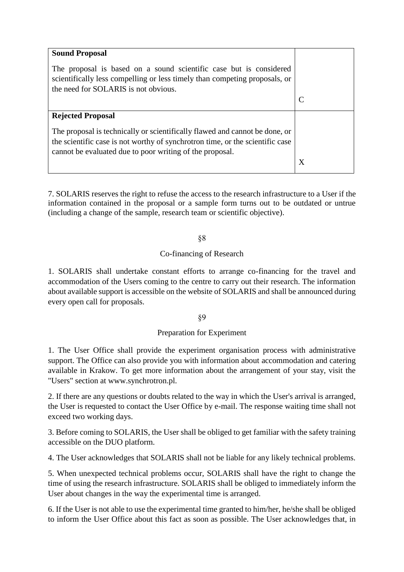| <b>Sound Proposal</b><br>The proposal is based on a sound scientific case but is considered<br>scientifically less compelling or less timely than competing proposals, or<br>the need for SOLARIS is not obvious.        |   |
|--------------------------------------------------------------------------------------------------------------------------------------------------------------------------------------------------------------------------|---|
|                                                                                                                                                                                                                          | C |
| <b>Rejected Proposal</b>                                                                                                                                                                                                 |   |
| The proposal is technically or scientifically flawed and cannot be done, or<br>the scientific case is not worthy of synchrotron time, or the scientific case<br>cannot be evaluated due to poor writing of the proposal. |   |
|                                                                                                                                                                                                                          | X |

7. SOLARIS reserves the right to refuse the access to the research infrastructure to a User if the information contained in the proposal or a sample form turns out to be outdated or untrue (including a change of the sample, research team or scientific objective).

§8

# Co-financing of Research

1. SOLARIS shall undertake constant efforts to arrange co-financing for the travel and accommodation of the Users coming to the centre to carry out their research. The information about available support is accessible on the website of SOLARIS and shall be announced during every open call for proposals.

§9

# Preparation for Experiment

1. The User Office shall provide the experiment organisation process with administrative support. The Office can also provide you with information about accommodation and catering available in Krakow. To get more information about the arrangement of your stay, visit the "Users" section at www.synchrotron.pl.

2. If there are any questions or doubts related to the way in which the User's arrival is arranged, the User is requested to contact the User Office by e-mail. The response waiting time shall not exceed two working days.

3. Before coming to SOLARIS, the User shall be obliged to get familiar with the safety training accessible on the DUO platform.

4. The User acknowledges that SOLARIS shall not be liable for any likely technical problems.

5. When unexpected technical problems occur, SOLARIS shall have the right to change the time of using the research infrastructure. SOLARIS shall be obliged to immediately inform the User about changes in the way the experimental time is arranged.

6. If the User is not able to use the experimental time granted to him/her, he/she shall be obliged to inform the User Office about this fact as soon as possible. The User acknowledges that, in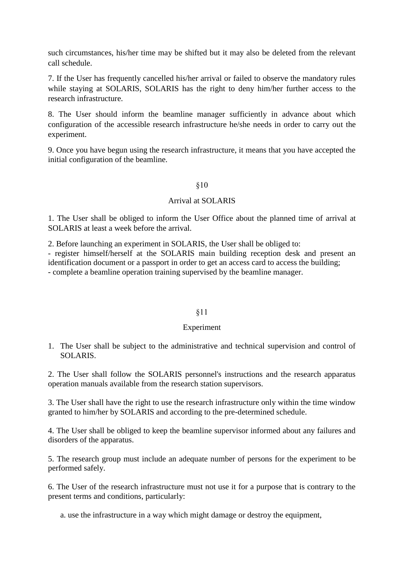such circumstances, his/her time may be shifted but it may also be deleted from the relevant call schedule.

7. If the User has frequently cancelled his/her arrival or failed to observe the mandatory rules while staying at SOLARIS, SOLARIS has the right to deny him/her further access to the research infrastructure.

8. The User should inform the beamline manager sufficiently in advance about which configuration of the accessible research infrastructure he/she needs in order to carry out the experiment.

9. Once you have begun using the research infrastructure, it means that you have accepted the initial configuration of the beamline.

#### §10

### Arrival at SOLARIS

1. The User shall be obliged to inform the User Office about the planned time of arrival at SOLARIS at least a week before the arrival.

2. Before launching an experiment in SOLARIS, the User shall be obliged to:

- register himself/herself at the SOLARIS main building reception desk and present an identification document or a passport in order to get an access card to access the building; - complete a beamline operation training supervised by the beamline manager.

#### §11

# Experiment

1. The User shall be subject to the administrative and technical supervision and control of SOLARIS.

2. The User shall follow the SOLARIS personnel's instructions and the research apparatus operation manuals available from the research station supervisors.

3. The User shall have the right to use the research infrastructure only within the time window granted to him/her by SOLARIS and according to the pre-determined schedule.

4. The User shall be obliged to keep the beamline supervisor informed about any failures and disorders of the apparatus.

5. The research group must include an adequate number of persons for the experiment to be performed safely.

6. The User of the research infrastructure must not use it for a purpose that is contrary to the present terms and conditions, particularly:

a. use the infrastructure in a way which might damage or destroy the equipment,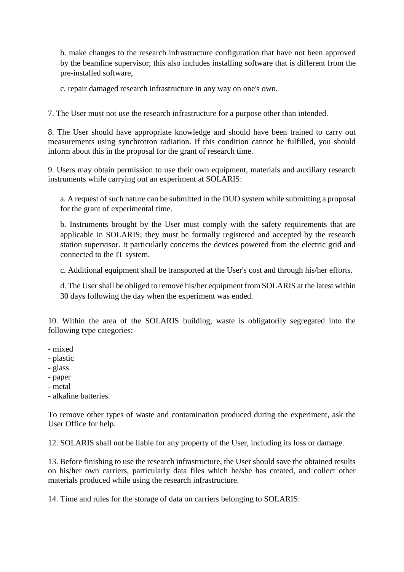b. make changes to the research infrastructure configuration that have not been approved by the beamline supervisor; this also includes installing software that is different from the pre-installed software,

c. repair damaged research infrastructure in any way on one's own.

7. The User must not use the research infrastructure for a purpose other than intended.

8. The User should have appropriate knowledge and should have been trained to carry out measurements using synchrotron radiation. If this condition cannot be fulfilled, you should inform about this in the proposal for the grant of research time.

9. Users may obtain permission to use their own equipment, materials and auxiliary research instruments while carrying out an experiment at SOLARIS:

a. A request of such nature can be submitted in the DUO system while submitting a proposal for the grant of experimental time.

b. Instruments brought by the User must comply with the safety requirements that are applicable in SOLARIS; they must be formally registered and accepted by the research station supervisor. It particularly concerns the devices powered from the electric grid and connected to the IT system.

c. Additional equipment shall be transported at the User's cost and through his/her efforts.

d. The User shall be obliged to remove his/her equipment from SOLARIS at the latest within 30 days following the day when the experiment was ended.

10. Within the area of the SOLARIS building, waste is obligatorily segregated into the following type categories:

- mixed
- plastic
- glass
- paper
- metal
- alkaline batteries.

To remove other types of waste and contamination produced during the experiment, ask the User Office for help.

12. SOLARIS shall not be liable for any property of the User, including its loss or damage.

13. Before finishing to use the research infrastructure, the User should save the obtained results on his/her own carriers, particularly data files which he/she has created, and collect other materials produced while using the research infrastructure.

14. Time and rules for the storage of data on carriers belonging to SOLARIS: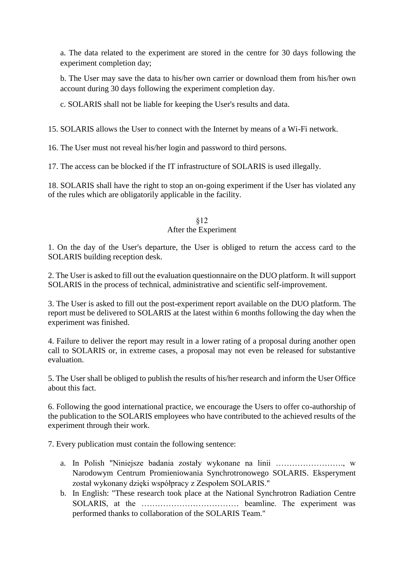a. The data related to the experiment are stored in the centre for 30 days following the experiment completion day;

b. The User may save the data to his/her own carrier or download them from his/her own account during 30 days following the experiment completion day.

c. SOLARIS shall not be liable for keeping the User's results and data.

15. SOLARIS allows the User to connect with the Internet by means of a Wi-Fi network.

16. The User must not reveal his/her login and password to third persons.

17. The access can be blocked if the IT infrastructure of SOLARIS is used illegally.

18. SOLARIS shall have the right to stop an on-going experiment if the User has violated any of the rules which are obligatorily applicable in the facility.

# §12 After the Experiment

1. On the day of the User's departure, the User is obliged to return the access card to the SOLARIS building reception desk.

2. The User is asked to fill out the evaluation questionnaire on the DUO platform. It will support SOLARIS in the process of technical, administrative and scientific self-improvement.

3. The User is asked to fill out the post-experiment report available on the DUO platform. The report must be delivered to SOLARIS at the latest within 6 months following the day when the experiment was finished.

4. Failure to deliver the report may result in a lower rating of a proposal during another open call to SOLARIS or, in extreme cases, a proposal may not even be released for substantive evaluation.

5. The User shall be obliged to publish the results of his/her research and inform the User Office about this fact.

6. Following the good international practice, we encourage the Users to offer co-authorship of the publication to the SOLARIS employees who have contributed to the achieved results of the experiment through their work.

7. Every publication must contain the following sentence:

- a. In Polish "Niniejsze badania zostały wykonane na linii ……………………., w Narodowym Centrum Promieniowania Synchrotronowego SOLARIS. Eksperyment został wykonany dzięki współpracy z Zespołem SOLARIS."
- b. In English: "These research took place at the National Synchrotron Radiation Centre SOLARIS, at the ……………………………… beamline. The experiment was performed thanks to collaboration of the SOLARIS Team."